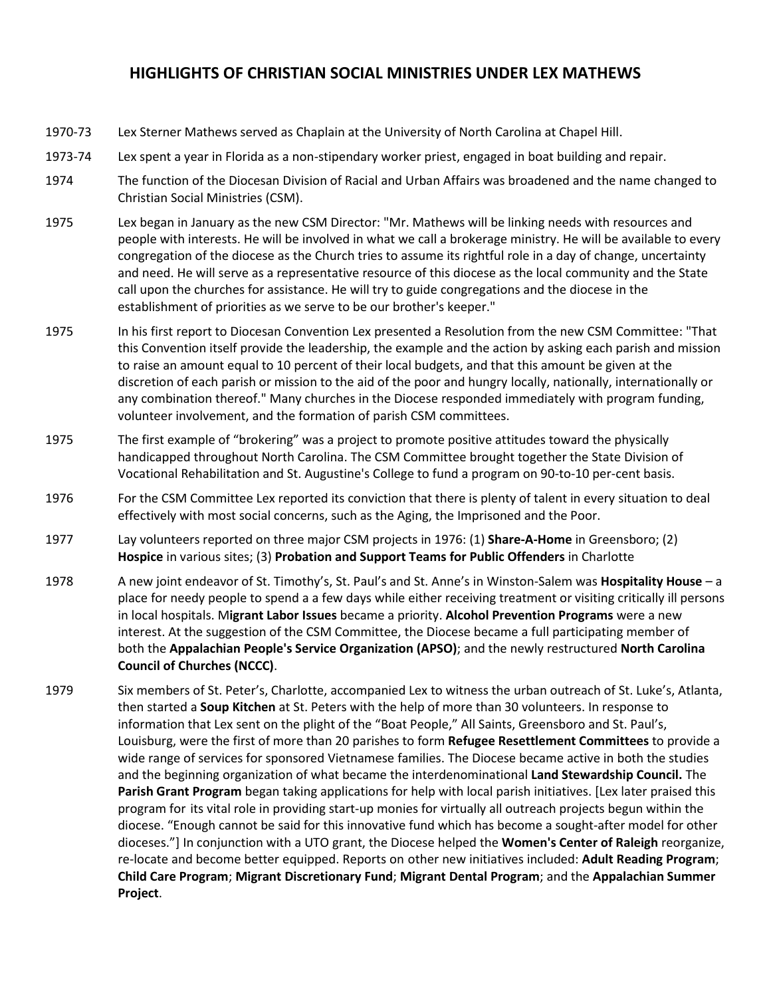## **HIGHLIGHTS OF CHRISTIAN SOCIAL MINISTRIES UNDER LEX MATHEWS**

- 1970-73 Lex Sterner Mathews served as Chaplain at the University of North Carolina at Chapel Hill.
- 1973-74 Lex spent a year in Florida as a non-stipendary worker priest, engaged in boat building and repair.
- 1974 The function of the Diocesan Division of Racial and Urban Affairs was broadened and the name changed to Christian Social Ministries (CSM).
- 1975 Lex began in January as the new CSM Director: "Mr. Mathews will be linking needs with resources and people with interests. He will be involved in what we call a brokerage ministry. He will be available to every congregation of the diocese as the Church tries to assume its rightful role in a day of change, uncertainty and need. He will serve as a representative resource of this diocese as the local community and the State call upon the churches for assistance. He will try to guide congregations and the diocese in the establishment of priorities as we serve to be our brother's keeper."
- 1975 In his first report to Diocesan Convention Lex presented a Resolution from the new CSM Committee: "That this Convention itself provide the leadership, the example and the action by asking each parish and mission to raise an amount equal to 10 percent of their local budgets, and that this amount be given at the discretion of each parish or mission to the aid of the poor and hungry locally, nationally, internationally or any combination thereof." Many churches in the Diocese responded immediately with program funding, volunteer involvement, and the formation of parish CSM committees.
- 1975 The first example of "brokering" was a project to promote positive attitudes toward the physically handicapped throughout North Carolina. The CSM Committee brought together the State Division of Vocational Rehabilitation and St. Augustine's College to fund a program on 90-to-10 per-cent basis.
- 1976 For the CSM Committee Lex reported its conviction that there is plenty of talent in every situation to deal effectively with most social concerns, such as the Aging, the Imprisoned and the Poor.
- 1977 Lay volunteers reported on three major CSM projects in 1976: (1) **Share-A-Home** in Greensboro; (2) **Hospice** in various sites; (3) **Probation and Support Teams for Public Offenders** in Charlotte
- 1978 A new joint endeavor of St. Timothy's, St. Paul's and St. Anne's in Winston-Salem was **Hospitality House** a place for needy people to spend a a few days while either receiving treatment or visiting critically ill persons in local hospitals. M**igrant Labor Issues** became a priority. **Alcohol Prevention Programs** were a new interest. At the suggestion of the CSM Committee, the Diocese became a full participating member of both the **Appalachian People's Service Organization (APSO)**; and the newly restructured **North Carolina Council of Churches (NCCC)**.
- 1979 Six members of St. Peter's, Charlotte, accompanied Lex to witness the urban outreach of St. Luke's, Atlanta, then started a **Soup Kitchen** at St. Peters with the help of more than 30 volunteers. In response to information that Lex sent on the plight of the "Boat People," All Saints, Greensboro and St. Paul's, Louisburg, were the first of more than 20 parishes to form **Refugee Resettlement Committees** to provide a wide range of services for sponsored Vietnamese families. The Diocese became active in both the studies and the beginning organization of what became the interdenominational **Land Stewardship Council.** The **Parish Grant Program** began taking applications for help with local parish initiatives. [Lex later praised this program for its vital role in providing start-up monies for virtually all outreach projects begun within the diocese. "Enough cannot be said for this innovative fund which has become a sought-after model for other dioceses."] In conjunction with a UTO grant, the Diocese helped the **Women's Center of Raleigh** reorganize, re-locate and become better equipped. Reports on other new initiatives included: **Adult Reading Program**; **Child Care Program**; **Migrant Discretionary Fund**; **Migrant Dental Program**; and the **Appalachian Summer Project**.